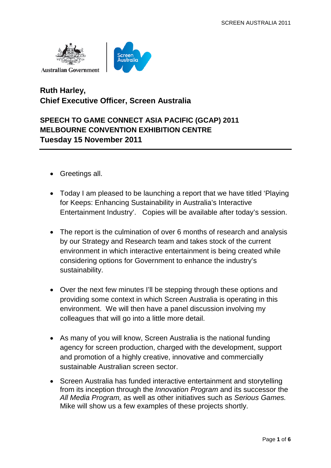



## **Ruth Harley, Chief Executive Officer, Screen Australia**

## **SPEECH TO GAME CONNECT ASIA PACIFIC (GCAP) 2011 MELBOURNE CONVENTION EXHIBITION CENTRE Tuesday 15 November 2011**

- Greetings all.
- Today I am pleased to be launching a report that we have titled 'Playing for Keeps: Enhancing Sustainability in Australia's Interactive Entertainment Industry'. Copies will be available after today's session.
- The report is the culmination of over 6 months of research and analysis by our Strategy and Research team and takes stock of the current environment in which interactive entertainment is being created while considering options for Government to enhance the industry's sustainability.
- Over the next few minutes I'll be stepping through these options and providing some context in which Screen Australia is operating in this environment. We will then have a panel discussion involving my colleagues that will go into a little more detail.
- As many of you will know, Screen Australia is the national funding agency for screen production, charged with the development, support and promotion of a highly creative, innovative and commercially sustainable Australian screen sector.
- Screen Australia has funded interactive entertainment and storytelling from its inception through the *Innovation Program* and its successor the *All Media Program,* as well as other initiatives such as *Serious Games.* Mike will show us a few examples of these projects shortly.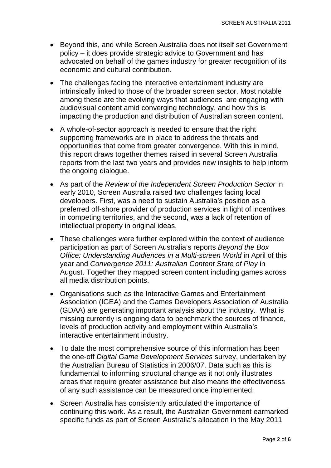- Beyond this, and while Screen Australia does not itself set Government policy – it does provide strategic advice to Government and has advocated on behalf of the games industry for greater recognition of its economic and cultural contribution.
- The challenges facing the interactive entertainment industry are intrinsically linked to those of the broader screen sector. Most notable among these are the evolving ways that audiences are engaging with audiovisual content amid converging technology, and how this is impacting the production and distribution of Australian screen content.
- A whole-of-sector approach is needed to ensure that the right supporting frameworks are in place to address the threats and opportunities that come from greater convergence. With this in mind, this report draws together themes raised in several Screen Australia reports from the last two years and provides new insights to help inform the ongoing dialogue.
- As part of the *Review of the Independent Screen Production Sector* in early 2010, Screen Australia raised two challenges facing local developers. First, was a need to sustain Australia's position as a preferred off-shore provider of production services in light of incentives in competing territories, and the second, was a lack of retention of intellectual property in original ideas.
- These challenges were further explored within the context of audience participation as part of Screen Australia's reports *Beyond the Box Office: Understanding Audiences in a Multi-screen World* in April of this year and *Convergence 2011: Australian Content State of Play* in August. Together they mapped screen content including games across all media distribution points.
- Organisations such as the Interactive Games and Entertainment Association (IGEA) and the Games Developers Association of Australia (GDAA) are generating important analysis about the industry. What is missing currently is ongoing data to benchmark the sources of finance, levels of production activity and employment within Australia's interactive entertainment industry.
- To date the most comprehensive source of this information has been the one-off *Digital Game Development Services* survey, undertaken by the Australian Bureau of Statistics in 2006/07. Data such as this is fundamental to informing structural change as it not only illustrates areas that require greater assistance but also means the effectiveness of any such assistance can be measured once implemented.
- Screen Australia has consistently articulated the importance of continuing this work. As a result, the Australian Government earmarked specific funds as part of Screen Australia's allocation in the May 2011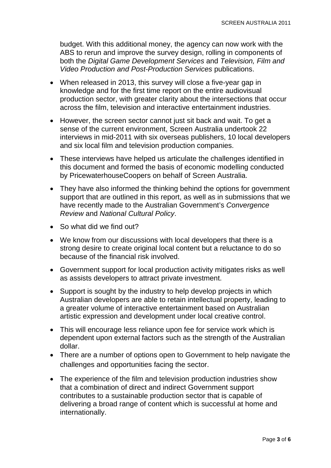budget. With this additional money, the agency can now work with the ABS to rerun and improve the survey design, rolling in components of both the *Digital Game Development Services* and *Television, Film and Video Production and Post-Production Services* publications.

- When released in 2013, this survey will close a five-year gap in knowledge and for the first time report on the entire audiovisual production sector, with greater clarity about the intersections that occur across the film, television and interactive entertainment industries.
- However, the screen sector cannot just sit back and wait. To get a sense of the current environment, Screen Australia undertook 22 interviews in mid-2011 with six overseas publishers, 10 local developers and six local film and television production companies.
- These interviews have helped us articulate the challenges identified in this document and formed the basis of economic modelling conducted by PricewaterhouseCoopers on behalf of Screen Australia.
- They have also informed the thinking behind the options for government support that are outlined in this report, as well as in submissions that we have recently made to the Australian Government's *Convergence Review* and *National Cultural Policy*.
- So what did we find out?
- We know from our discussions with local developers that there is a strong desire to create original local content but a reluctance to do so because of the financial risk involved.
- Government support for local production activity mitigates risks as well as assists developers to attract private investment.
- Support is sought by the industry to help develop projects in which Australian developers are able to retain intellectual property, leading to a greater volume of interactive entertainment based on Australian artistic expression and development under local creative control.
- This will encourage less reliance upon fee for service work which is dependent upon external factors such as the strength of the Australian dollar.
- There are a number of options open to Government to help navigate the challenges and opportunities facing the sector.
- The experience of the film and television production industries show that a combination of direct and indirect Government support contributes to a sustainable production sector that is capable of delivering a broad range of content which is successful at home and internationally.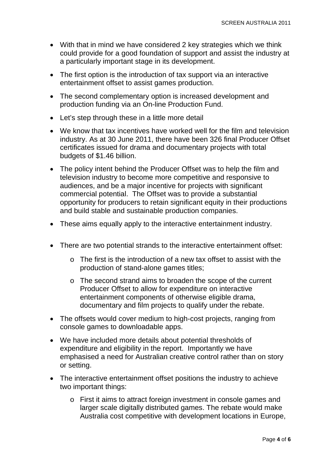- With that in mind we have considered 2 key strategies which we think could provide for a good foundation of support and assist the industry at a particularly important stage in its development.
- The first option is the introduction of tax support via an interactive entertainment offset to assist games production.
- The second complementary option is increased development and production funding via an On-line Production Fund.
- Let's step through these in a little more detail
- We know that tax incentives have worked well for the film and television industry. As at 30 June 2011, there have been 326 final Producer Offset certificates issued for drama and documentary projects with total budgets of \$1.46 billion.
- The policy intent behind the Producer Offset was to help the film and television industry to become more competitive and responsive to audiences, and be a major incentive for projects with significant commercial potential. The Offset was to provide a substantial opportunity for producers to retain significant equity in their productions and build stable and sustainable production companies.
- These aims equally apply to the interactive entertainment industry.
- There are two potential strands to the interactive entertainment offset:
	- o The first is the introduction of a new tax offset to assist with the production of stand-alone games titles;
	- o The second strand aims to broaden the scope of the current Producer Offset to allow for expenditure on interactive entertainment components of otherwise eligible drama, documentary and film projects to qualify under the rebate.
- The offsets would cover medium to high-cost projects, ranging from console games to downloadable apps.
- We have included more details about potential thresholds of expenditure and eligibility in the report. Importantly we have emphasised a need for Australian creative control rather than on story or setting.
- The interactive entertainment offset positions the industry to achieve two important things:
	- o First it aims to attract foreign investment in console games and larger scale digitally distributed games. The rebate would make Australia cost competitive with development locations in Europe,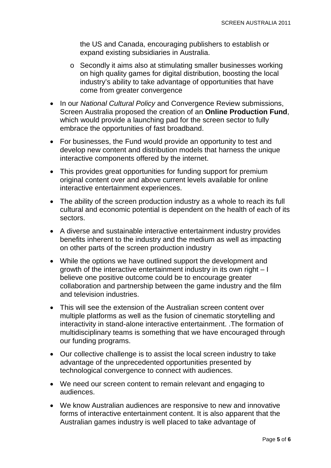the US and Canada, encouraging publishers to establish or expand existing subsidiaries in Australia.

- o Secondly it aims also at stimulating smaller businesses working on high quality games for digital distribution, boosting the local industry's ability to take advantage of opportunities that have come from greater convergence
- In our *National Cultural Policy* and Convergence Review submissions, Screen Australia proposed the creation of an **Online Production Fund**, which would provide a launching pad for the screen sector to fully embrace the opportunities of fast broadband.
- For businesses, the Fund would provide an opportunity to test and develop new content and distribution models that harness the unique interactive components offered by the internet.
- This provides great opportunities for funding support for premium original content over and above current levels available for online interactive entertainment experiences.
- The ability of the screen production industry as a whole to reach its full cultural and economic potential is dependent on the health of each of its sectors.
- A diverse and sustainable interactive entertainment industry provides benefits inherent to the industry and the medium as well as impacting on other parts of the screen production industry
- While the options we have outlined support the development and growth of the interactive entertainment industry in its own right – I believe one positive outcome could be to encourage greater collaboration and partnership between the game industry and the film and television industries.
- This will see the extension of the Australian screen content over multiple platforms as well as the fusion of cinematic storytelling and interactivity in stand-alone interactive entertainment. .The formation of multidisciplinary teams is something that we have encouraged through our funding programs.
- Our collective challenge is to assist the local screen industry to take advantage of the unprecedented opportunities presented by technological convergence to connect with audiences.
- We need our screen content to remain relevant and engaging to audiences.
- We know Australian audiences are responsive to new and innovative forms of interactive entertainment content. It is also apparent that the Australian games industry is well placed to take advantage of